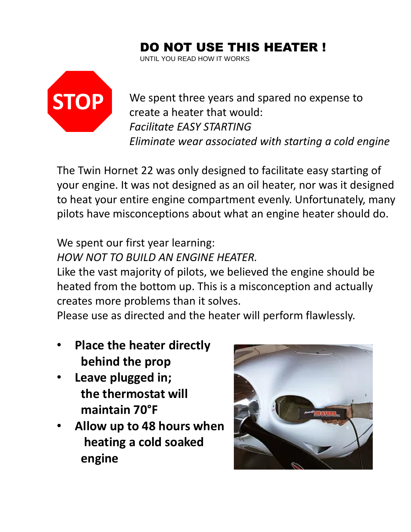# DO NOT USE THIS HEATER !

UNTIL YOU READ HOW IT WORKS



We spent three years and spared no expense to create a heater that would: *Facilitate EASY STARTING Eliminate wear associated with starting a cold engine*

The Twin Hornet 22 was only designed to facilitate easy starting of your engine. It was not designed as an oil heater, nor was it designed to heat your entire engine compartment evenly. Unfortunately, many pilots have misconceptions about what an engine heater should do.

### We spent our first year learning: *HOW NOT TO BUILD AN ENGINE HEATER.*

Like the vast majority of pilots, we believed the engine should be heated from the bottom up. This is a misconception and actually creates more problems than it solves.

Please use as directed and the heater will perform flawlessly.

- **Place the heater directly behind the prop**
- **Leave plugged in; the thermostat will maintain 70°F**
- **Allow up to 48 hours when heating a cold soaked engine**

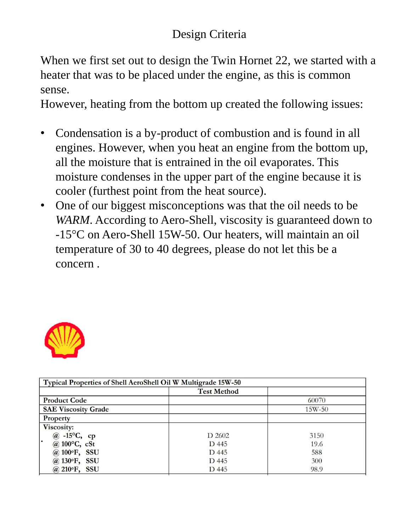## Design Criteria

When we first set out to design the Twin Hornet 22, we started with a heater that was to be placed under the engine, as this is common sense.

However, heating from the bottom up created the following issues:

- Condensation is a by-product of combustion and is found in all engines. However, when you heat an engine from the bottom up, all the moisture that is entrained in the oil evaporates. This moisture condenses in the upper part of the engine because it is cooler (furthest point from the heat source).
- One of our biggest misconceptions was that the oil needs to be *WARM*. According to Aero-Shell, viscosity is guaranteed down to -15°C on Aero-Shell 15W-50. Our heaters, will maintain an oil temperature of 30 to 40 degrees, please do not let this be a concern .



| Typical Properties of Shell AeroShell Oil W Multigrade 15W-50 |                    |          |
|---------------------------------------------------------------|--------------------|----------|
|                                                               | <b>Test Method</b> |          |
| <b>Product Code</b>                                           |                    | 60070    |
| <b>SAE Viscosity Grade</b>                                    |                    | $15W-50$ |
| <b>Property</b>                                               |                    |          |
| Viscosity:                                                    |                    |          |
| $@ -15\textdegree C, cp$                                      | D 2602             | 3150     |
| @ $100^{\circ}$ C, cSt                                        | D 445              | 19.6     |
| @ 100°F, SSU                                                  | D 445              | 588      |
| @ 130°F, SSU                                                  | D 445              | 300      |
| @ 210°F, SSU                                                  | D 445              | 98.9     |